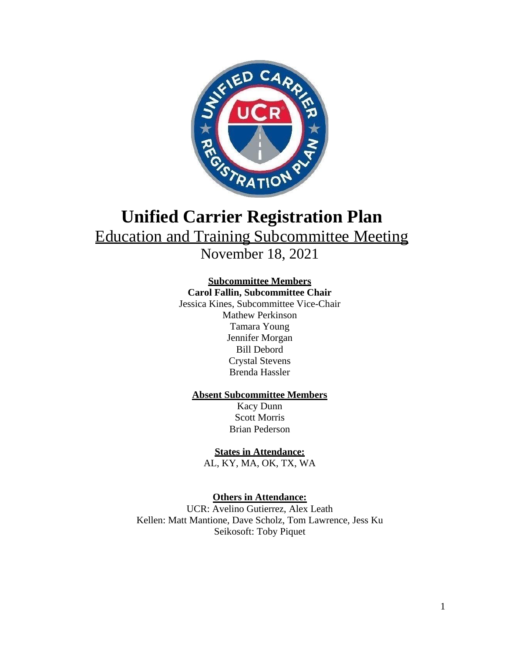

# **Unified Carrier Registration Plan** Education and Training Subcommittee Meeting

November 18, 2021

## **Subcommittee Members**

**Carol Fallin, Subcommittee Chair**

Jessica Kines, Subcommittee Vice-Chair Mathew Perkinson Tamara Young Jennifer Morgan Bill Debord Crystal Stevens Brenda Hassler

### **Absent Subcommittee Members**

Kacy Dunn Scott Morris Brian Pederson

## **States in Attendance:**

AL, KY, MA, OK, TX, WA

## **Others in Attendance:**

UCR: Avelino Gutierrez, Alex Leath Kellen: Matt Mantione, Dave Scholz, Tom Lawrence, Jess Ku Seikosoft: Toby Piquet